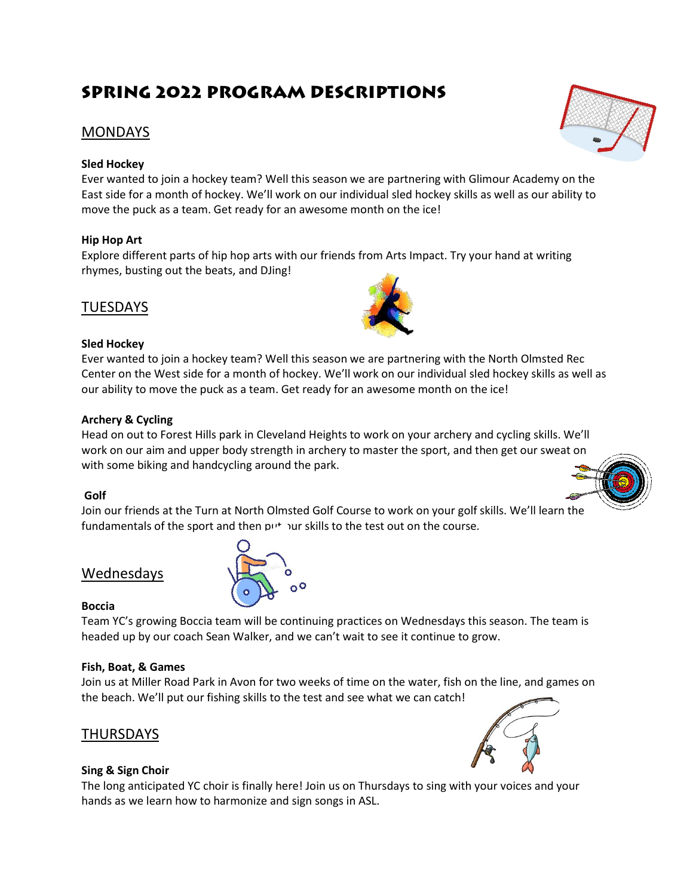# **Spring 2022 PROGRAM DESCRIPTIONS**

# MONDAYS

## **Sled Hockey**

Ever wanted to join a hockey team? Well this season we are partnering with Glimour Academy on the East side for a month of hockey. We'll work on our individual sled hockey skills as well as our ability to move the puck as a team. Get ready for an awesome month on the ice!

# **Hip Hop Art**

Explore different parts of hip hop arts with our friends from Arts Impact. Try your hand at writing rhymes, busting out the beats, and DJing!

# **TUESDAYS**

#### **Sled Hockey**

Ever wanted to join a hockey team? Well this season we are partnering with the North Olmsted Rec Center on the West side for a month of hockey. We'll work on our individual sled hockey skills as well as our ability to move the puck as a team. Get ready for an awesome month on the ice!

## **Archery & Cycling**

Head on out to Forest Hills park in Cleveland Heights to work on your archery and cycling skills. We'll work on our aim and upper body strength in archery to master the sport, and then get our sweat on with some biking and handcycling around the park.

#### **Golf**

Join our friends at the Turn at North Olmsted Golf Course to work on your golf skills. We'll learn the fundamentals of the sport and then put your skills to the test out on the course.

# Wednesdays

#### **Boccia**

Team YC's growing Boccia team will be continuing practices on Wednesdays this season. The team is headed up by our coach Sean Walker, and we can't wait to see it continue to grow.

#### **Fish, Boat, & Games**

Join us at Miller Road Park in Avon for two weeks of time on the water, fish on the line, and games on the beach. We'll put our fishing skills to the test and see what we can catch!

# **THURSDAYS**

# **Sing & Sign Choir**

The long anticipated YC choir is finally here! Join us on Thursdays to sing with your voices and your hands as we learn how to harmonize and sign songs in ASL.









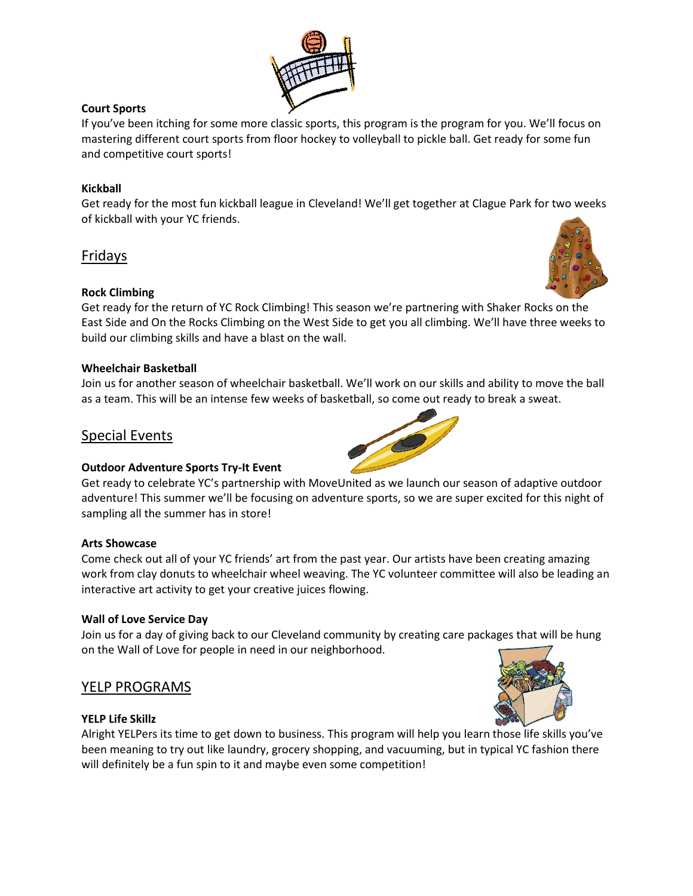

# **Court Sports**

If you've been itching for some more classic sports, this program is the program for you. We'll focus on mastering different court sports from floor hockey to volleyball to pickle ball. Get ready for some fun and competitive court sports!

## **Kickball**

Get ready for the most fun kickball league in Cleveland! We'll get together at Clague Park for two weeks of kickball with your YC friends.

# Fridays

## **Rock Climbing**

Get ready for the return of YC Rock Climbing! This season we're partnering with Shaker Rocks on the East Side and On the Rocks Climbing on the West Side to get you all climbing. We'll have three weeks to build our climbing skills and have a blast on the wall.

#### **Wheelchair Basketball**

Join us for another season of wheelchair basketball. We'll work on our skills and ability to move the ball as a team. This will be an intense few weeks of basketball, so come out ready to break a sweat.

# Special Events

#### **Outdoor Adventure Sports Try-It Event**

Get ready to celebrate YC's partnership with MoveUnited as we launch our season of adaptive outdoor adventure! This summer we'll be focusing on adventure sports, so we are super excited for this night of sampling all the summer has in store!

#### **Arts Showcase**

Come check out all of your YC friends' art from the past year. Our artists have been creating amazing work from clay donuts to wheelchair wheel weaving. The YC volunteer committee will also be leading an interactive art activity to get your creative juices flowing.

#### **Wall of Love Service Day**

Join us for a day of giving back to our Cleveland community by creating care packages that will be hung on the Wall of Love for people in need in our neighborhood.

# YELP PROGRAMS

#### **YELP Life Skillz**



Alright YELPers its time to get down to business. This program will help you learn those life skills you've been meaning to try out like laundry, grocery shopping, and vacuuming, but in typical YC fashion there will definitely be a fun spin to it and maybe even some competition!